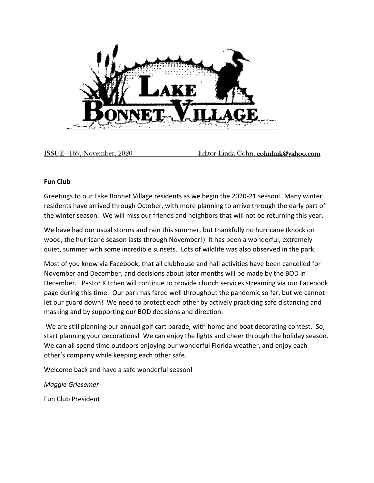

ISSUE—169, November, 2020 Editor-Linda Cohn, cohnlmk@yahoo.com

## **Fun Club**

Greetings to our Lake Bonnet Village residents as we begin the 2020-21 season! Many winter residents have arrived through October, with more planning to arrive through the early part of the winter season. We will miss our friends and neighbors that will not be returning this year.

We have had our usual storms and rain this summer, but thankfully no hurricane (knock on wood, the hurricane season lasts through November!) It has been a wonderful, extremely quiet, summer with some incredible sunsets. Lots of wildlife was also observed in the park.

Most of you know via Facebook, that all clubhouse and hall activities have been cancelled for November and December, and decisions about later months will be made by the BOD in December. Pastor Kitchen will continue to provide church services streaming via our Facebook page during this time. Our park has fared well throughout the pandemic so far, but we cannot let our guard down! We need to protect each other by actively practicing safe distancing and masking and by supporting our BOD decisions and direction.

We are still planning our annual golf cart parade, with home and boat decorating contest. So, start planning your decorations! We can enjoy the lights and cheer through the holiday season. We can all spend time outdoors enjoying our wonderful Florida weather, and enjoy each other's company while keeping each other safe.

Welcome back and have a safe wonderful season!

*Maggie Griesemer*

Fun Club President